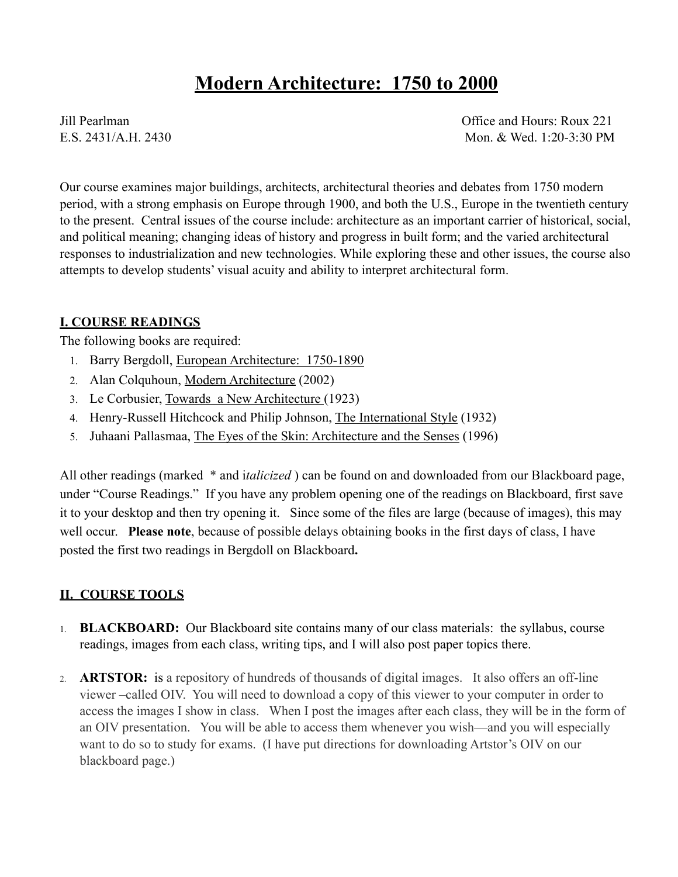# **Modern Architecture: 1750 to 2000**

Jill Pearlman Office and Hours: Roux 221 E.S. 2431/A.H. 2430 Mon. & Wed. 1:20-3:30 PM

Our course examines major buildings, architects, architectural theories and debates from 1750 modern period, with a strong emphasis on Europe through 1900, and both the U.S., Europe in the twentieth century to the present. Central issues of the course include: architecture as an important carrier of historical, social, and political meaning; changing ideas of history and progress in built form; and the varied architectural responses to industrialization and new technologies. While exploring these and other issues, the course also attempts to develop students' visual acuity and ability to interpret architectural form.

## **I. COURSE READINGS**

The following books are required:

- 1. Barry Bergdoll, European Architecture: 1750-1890
- 2. Alan Colquhoun, Modern Architecture (2002)
- 3. Le Corbusier, Towards a New Architecture (1923)
- 4. Henry-Russell Hitchcock and Philip Johnson, The International Style (1932)
- 5. Juhaani Pallasmaa, The Eyes of the Skin: Architecture and the Senses (1996)

All other readings (marked \* and i*talicized* ) can be found on and downloaded from our Blackboard page, under "Course Readings." If you have any problem opening one of the readings on Blackboard, first save it to your desktop and then try opening it. Since some of the files are large (because of images), this may well occur. **Please note**, because of possible delays obtaining books in the first days of class, I have posted the first two readings in Bergdoll on Blackboard**.** 

# **II. COURSE TOOLS**

- 1. **BLACKBOARD:** Our Blackboard site contains many of our class materials: the syllabus, course readings, images from each class, writing tips, and I will also post paper topics there.
- 2. **ARTSTOR:** is a repository of hundreds of thousands of digital images. It also offers an off-line viewer –called OIV. You will need to download a copy of this viewer to your computer in order to access the images I show in class. When I post the images after each class, they will be in the form of an OIV presentation. You will be able to access them whenever you wish—and you will especially want to do so to study for exams. (I have put directions for downloading Artstor's OIV on our blackboard page.)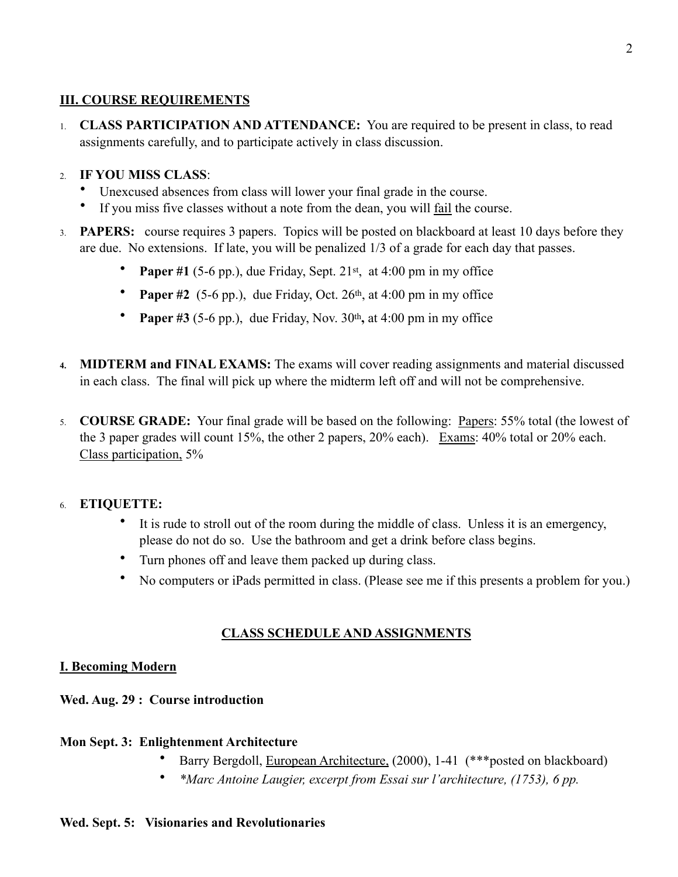# **III. COURSE REQUIREMENTS**

1. **CLASS PARTICIPATION AND ATTENDANCE:** You are required to be present in class, to read assignments carefully, and to participate actively in class discussion.

# 2. **IF YOU MISS CLASS**:

- Unexcused absences from class will lower your final grade in the course.
- If you miss five classes without a note from the dean, you will fail the course.
- 3. **PAPERS:** course requires 3 papers. Topics will be posted on blackboard at least 10 days before they are due. No extensions. If late, you will be penalized 1/3 of a grade for each day that passes.
	- **Paper #1** (5-6 pp.), due Friday, Sept. 21<sup>st</sup>, at 4:00 pm in my office
	- **Paper #2** (5-6 pp.), due Friday, Oct.  $26<sup>th</sup>$ , at 4:00 pm in my office
	- **Paper #3** (5-6 pp.), due Friday, Nov. 30<sup>th</sup>, at 4:00 pm in my office
- **4. MIDTERM and FINAL EXAMS:** The exams will cover reading assignments and material discussed in each class. The final will pick up where the midterm left off and will not be comprehensive.
- 5. **COURSE GRADE:** Your final grade will be based on the following: Papers: 55% total (the lowest of the 3 paper grades will count 15%, the other 2 papers, 20% each). Exams: 40% total or 20% each. Class participation, 5%

# 6. **ETIQUETTE:**

- It is rude to stroll out of the room during the middle of class. Unless it is an emergency, please do not do so. Use the bathroom and get a drink before class begins.
- Turn phones off and leave them packed up during class.
- No computers or iPads permitted in class. (Please see me if this presents a problem for you.)

# **CLASS SCHEDULE AND ASSIGNMENTS**

## **I. Becoming Modern**

## **Wed. Aug. 29 : Course introduction**

## **Mon Sept. 3: Enlightenment Architecture**

- Barry Bergdoll, European Architecture, (2000), 1-41 (\*\*\*posted on blackboard)
- *\*Marc Antoine Laugier, excerpt from Essai sur l'architecture, (1753), 6 pp.*

## **Wed. Sept. 5: Visionaries and Revolutionaries**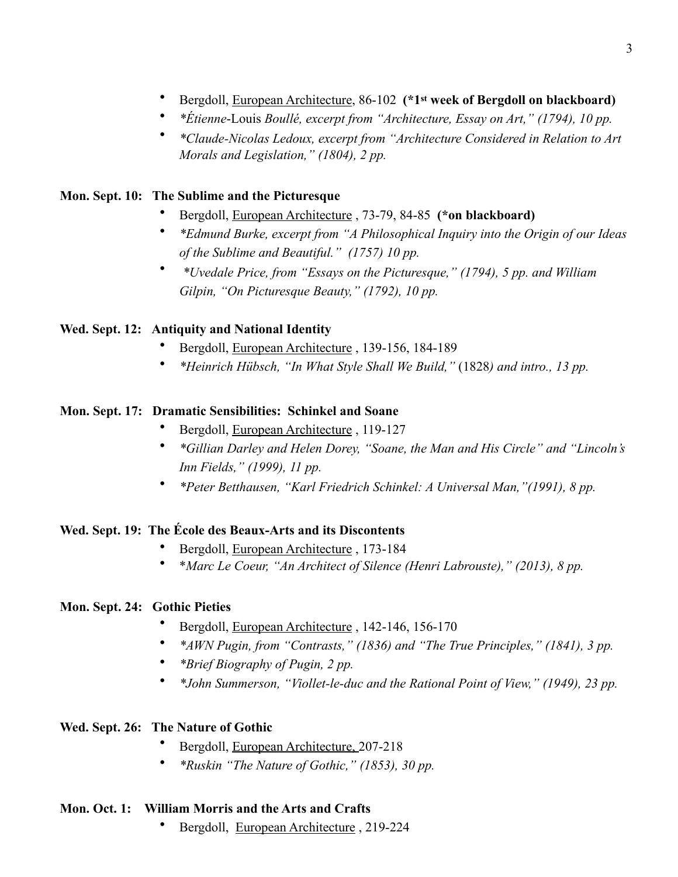- Bergdoll, European Architecture, 86-102 **(\*1st week of Bergdoll on blackboard)**
- *\*Étienne*-Louis *Boullé, excerpt from "Architecture, Essay on Art," (1794), 10 pp.*
- *\*Claude-Nicolas Ledoux, excerpt from "Architecture Considered in Relation to Art Morals and Legislation," (1804), 2 pp.*

## **Mon. Sept. 10: The Sublime and the Picturesque**

- Bergdoll, European Architecture , 73-79, 84-85 **(\*on blackboard)**
- *\*Edmund Burke, excerpt from "A Philosophical Inquiry into the Origin of our Ideas of the Sublime and Beautiful." (1757) 10 pp.*
- • *\*Uvedale Price, from "Essays on the Picturesque," (1794), 5 pp. and William Gilpin, "On Picturesque Beauty," (1792), 10 pp.*

## **Wed. Sept. 12: Antiquity and National Identity**

- Bergdoll, European Architecture , 139-156, 184-189
- *\*Heinrich Hübsch, "In What Style Shall We Build,"* (1828*) and intro., 13 pp.*

## **Mon. Sept. 17: Dramatic Sensibilities: Schinkel and Soane**

- Bergdoll, European Architecture , 119-127
- *\*Gillian Darley and Helen Dorey, "Soane, the Man and His Circle" and "Lincoln's Inn Fields," (1999), 11 pp.*
- *\*Peter Betthausen, "Karl Friedrich Schinkel: A Universal Man,"(1991), 8 pp.*

## **Wed. Sept. 19: The École des Beaux-Arts and its Discontents**

- Bergdoll, European Architecture , 173-184
- \**Marc Le Coeur, "An Architect of Silence (Henri Labrouste)," (2013), 8 pp.*

## **Mon. Sept. 24: Gothic Pieties**

- Bergdoll, European Architecture , 142-146, 156-170
- *\*AWN Pugin, from "Contrasts," (1836) and "The True Principles," (1841), 3 pp.*
- *\*Brief Biography of Pugin, 2 pp.*
- *\*John Summerson, "Viollet-le-duc and the Rational Point of View," (1949), 23 pp.*

## **Wed. Sept. 26: The Nature of Gothic**

- Bergdoll, European Architecture, 207-218
- *\*Ruskin "The Nature of Gothic," (1853), 30 pp.*

## **Mon. Oct. 1: William Morris and the Arts and Crafts**

• Bergdoll, European Architecture , 219-224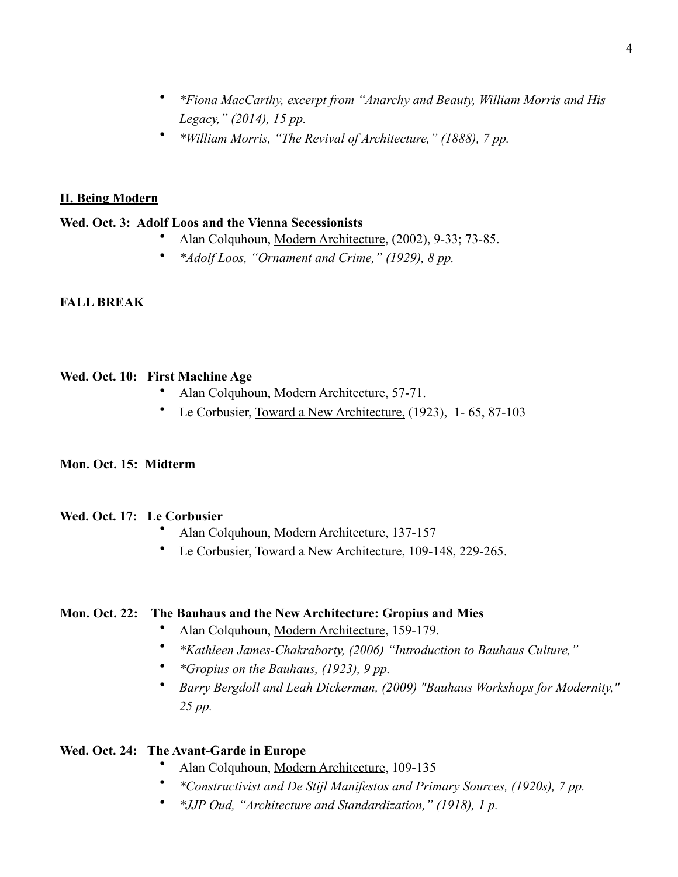- *\*Fiona MacCarthy, excerpt from "Anarchy and Beauty, William Morris and His Legacy," (2014), 15 pp.*
- *\*William Morris, "The Revival of Architecture," (1888), 7 pp.*

## **II. Being Modern**

## **Wed. Oct. 3: Adolf Loos and the Vienna Secessionists**

- Alan Colquhoun, Modern Architecture, (2002), 9-33; 73-85.
- *\*Adolf Loos, "Ornament and Crime," (1929), 8 pp.*

## **FALL BREAK**

## **Wed. Oct. 10: First Machine Age**

- Alan Colquhoun, Modern Architecture, 57-71.
- Le Corbusier, Toward a New Architecture, (1923), 1- 65, 87-103

## **Mon. Oct. 15: Midterm**

## **Wed. Oct. 17: Le Corbusier**

- Alan Colquhoun, Modern Architecture, 137-157
- Le Corbusier, Toward a New Architecture, 109-148, 229-265.

## **Mon. Oct. 22: The Bauhaus and the New Architecture: Gropius and Mies**

- Alan Colquhoun, Modern Architecture, 159-179.
- *\*Kathleen James-Chakraborty, (2006) "Introduction to Bauhaus Culture,"*
- *\*Gropius on the Bauhaus, (1923), 9 pp.*
- *Barry Bergdoll and Leah Dickerman, (2009) "Bauhaus Workshops for Modernity," 25 pp.*

## **Wed. Oct. 24: The Avant-Garde in Europe**

- Alan Colquhoun, Modern Architecture, 109-135
- *\*Constructivist and De Stijl Manifestos and Primary Sources, (1920s), 7 pp.*
- *\*JJP Oud, "Architecture and Standardization," (1918), 1 p.*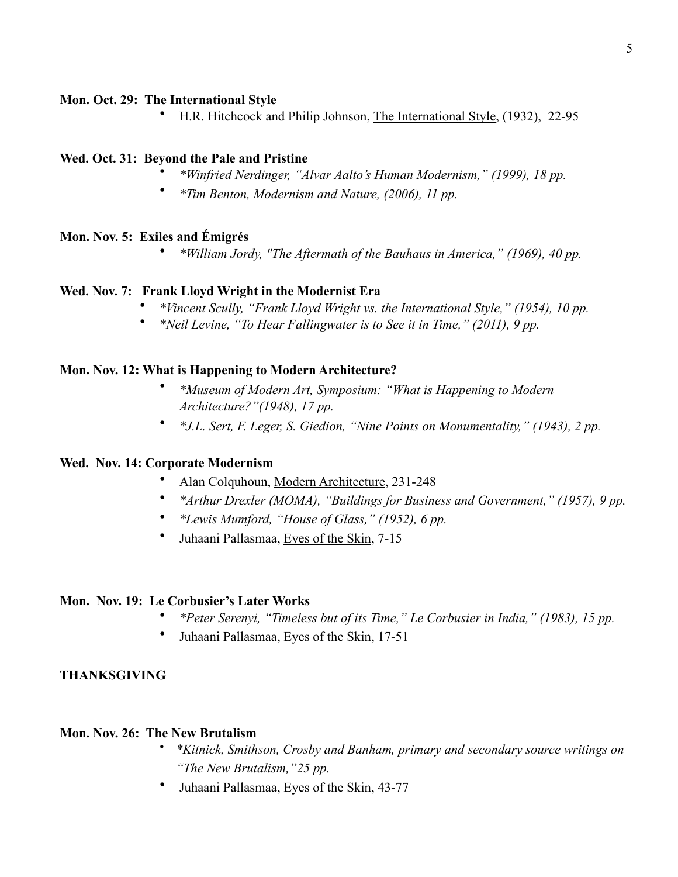#### **Mon. Oct. 29: The International Style**

• H.R. Hitchcock and Philip Johnson, The International Style, (1932), 22-95

## **Wed. Oct. 31: Beyond the Pale and Pristine**

- *\*Winfried Nerdinger, "Alvar Aalto's Human Modernism," (1999), 18 pp.*
- *\*Tim Benton, Modernism and Nature, (2006), 11 pp.*

## **Mon. Nov. 5: Exiles and Émigrés**

• *\*William Jordy, "The Aftermath of the Bauhaus in America," (1969), 40 pp.* 

#### **Wed. Nov. 7: Frank Lloyd Wright in the Modernist Era**

- *\*Vincent Scully, "Frank Lloyd Wright vs. the International Style," (1954), 10 pp.*
- *\*Neil Levine, "To Hear Fallingwater is to See it in Time," (2011), 9 pp.*

#### **Mon. Nov. 12: What is Happening to Modern Architecture?**

- *\*Museum of Modern Art, Symposium: "What is Happening to Modern Architecture?"(1948), 17 pp.*
- *\*J.L. Sert, F. Leger, S. Giedion, "Nine Points on Monumentality," (1943), 2 pp.*

#### **Wed. Nov. 14: Corporate Modernism**

- Alan Colquhoun, Modern Architecture, 231-248
- *\*Arthur Drexler (MOMA), "Buildings for Business and Government," (1957), 9 pp.*
- *\*Lewis Mumford, "House of Glass," (1952), 6 pp.*
- Juhaani Pallasmaa, Eyes of the Skin, 7-15

#### **Mon. Nov. 19: Le Corbusier's Later Works**

- *\*Peter Serenyi, "Timeless but of its Time," Le Corbusier in India," (1983), 15 pp.*
- Juhaani Pallasmaa, Eyes of the Skin, 17-51

## **THANKSGIVING**

#### **Mon. Nov. 26: The New Brutalism**

- *\*Kitnick, Smithson, Crosby and Banham, primary and secondary source writings on "The New Brutalism,"25 pp.*
- Juhaani Pallasmaa, Eyes of the Skin, 43-77